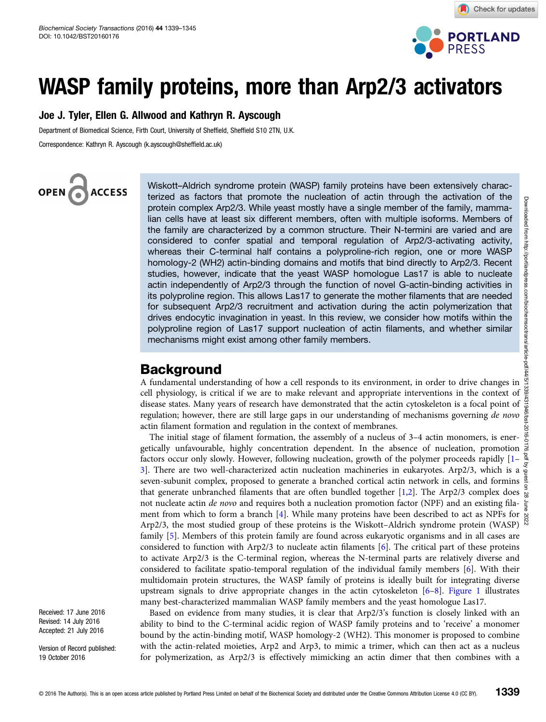

# WASP family proteins, more than Arp2/3 activators

### Joe J. Tyler, Ellen G. Allwood and Kathryn R. Ayscough

Department of Biomedical Science, Firth Court, University of Sheffield, Sheffield S10 2TN, U.K. Correspondence: Kathryn R. Ayscough (k.ayscough@sheffield.ac.uk)

OPEN<sub>6</sub> **ACCESS** 

Wiskott–Aldrich syndrome protein (WASP) family proteins have been extensively characterized as factors that promote the nucleation of actin through the activation of the protein complex Arp2/3. While yeast mostly have a single member of the family, mammalian cells have at least six different members, often with multiple isoforms. Members of the family are characterized by a common structure. Their N-termini are varied and are considered to confer spatial and temporal regulation of Arp2/3-activating activity, whereas their C-terminal half contains a polyproline-rich region, one or more WASP homology-2 (WH2) actin-binding domains and motifs that bind directly to Arp2/3. Recent studies, however, indicate that the yeast WASP homologue Las17 is able to nucleate actin independently of Arp2/3 through the function of novel G-actin-binding activities in its polyproline region. This allows Las17 to generate the mother filaments that are needed for subsequent Arp2/3 recruitment and activation during the actin polymerization that drives endocytic invagination in yeast. In this review, we consider how motifs within the polyproline region of Las17 support nucleation of actin filaments, and whether similar mechanisms might exist among other family members.

### Background

A fundamental understanding of how a cell responds to its environment, in order to drive changes in cell physiology, is critical if we are to make relevant and appropriate interventions in the context of disease states. Many years of research have demonstrated that the actin cytoskeleton is a focal point of  $\frac{3}{5}$ regulation; however, there are still large gaps in our understanding of mechanisms governing de novo  $\frac{1}{8}$ actin filament formation and regulation in the context of membranes.

The initial stage of filament formation, the assembly of a nucleus of 3–4 actin monomers, is energetically unfavourable, highly concentration dependent. In the absence of nucleation, promotion factors occur only slowly. However, following nucleation, growth of the polymer proceeds rapidly [[1](#page-4-0)– [3\]](#page-4-0). There are two well-characterized actin nucleation machineries in eukaryotes. Arp2/3, which is a seven-subunit complex, proposed to generate a branched cortical actin network in cells, and formins  $\frac{8}{9}$ that generate unbranched filaments that are often bundled together [\[1,2\]](#page-4-0). The Arp2/3 complex does  $\frac{5}{66}$ not nucleate actin de novo and requires both a nucleation promotion factor (NPF) and an existing fila-ment from which to form a branch [\[4](#page-5-0)]. While many proteins have been described to act as NPFs for  $\frac{8}{10}$  ment from which to form a branch [4]. While many proteins have been described to act as NPFs for  $\frac{8}{10}$ Arp2/3, the most studied group of these proteins is the Wiskott–Aldrich syndrome protein (WASP) family [\[5\]](#page-5-0). Members of this protein family are found across eukaryotic organisms and in all cases are considered to function with Arp2/3 to nucleate actin filaments [[6\]](#page-5-0). The critical part of these proteins to activate Arp2/3 is the C-terminal region, whereas the N-terminal parts are relatively diverse and considered to facilitate spatio-temporal regulation of the individual family members [[6\]](#page-5-0). With their multidomain protein structures, the WASP family of proteins is ideally built for integrating diverse upstream signals to drive appropriate changes in the actin cytoskeleton [\[6](#page-5-0)–[8\]](#page-5-0). [Figure 1](#page-1-0) illustrates many best-characterized mammalian WASP family members and the yeast homologue Las17.

Based on evidence from many studies, it is clear that Arp2/3's function is closely linked with an ability to bind to the C-terminal acidic region of WASP family proteins and to 'receive' a monomer bound by the actin-binding motif, WASP homology-2 (WH2). This monomer is proposed to combine with the actin-related moieties, Arp2 and Arp3, to mimic a trimer, which can then act as a nucleus for polymerization, as Arp2/3 is effectively mimicking an actin dimer that then combines with a

Received: 17 June 2016 Revised: 14 July 2016 Accepted: 21 July 2016

Version of Record published: 19 October 2016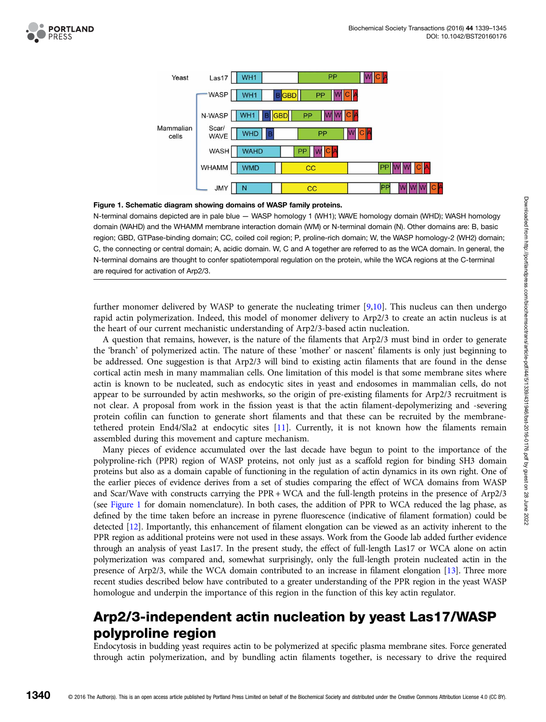<span id="page-1-0"></span>



### Figure 1. Schematic diagram showing domains of WASP family proteins.

N-terminal domains depicted are in pale blue — WASP homology 1 (WH1); WAVE homology domain (WHD); WASH homology domain (WAHD) and the WHAMM membrane interaction domain (WM) or N-terminal domain (N). Other domains are: B, basic region; GBD, GTPase-binding domain; CC, coiled coil region; P, proline-rich domain; W, the WASP homology-2 (WH2) domain; C, the connecting or central domain; A, acidic domain. W, C and A together are referred to as the WCA domain. In general, the N-terminal domains are thought to confer spatiotemporal regulation on the protein, while the WCA regions at the C-terminal are required for activation of Arp2/3.

further monomer delivered by WASP to generate the nucleating trimer [[9,10](#page-5-0)]. This nucleus can then undergo rapid actin polymerization. Indeed, this model of monomer delivery to Arp2/3 to create an actin nucleus is at the heart of our current mechanistic understanding of Arp2/3-based actin nucleation.

A question that remains, however, is the nature of the filaments that Arp2/3 must bind in order to generate the 'branch' of polymerized actin. The nature of these 'mother' or nascent' filaments is only just beginning to be addressed. One suggestion is that Arp2/3 will bind to existing actin filaments that are found in the dense cortical actin mesh in many mammalian cells. One limitation of this model is that some membrane sites where actin is known to be nucleated, such as endocytic sites in yeast and endosomes in mammalian cells, do not appear to be surrounded by actin meshworks, so the origin of pre-existing filaments for Arp2/3 recruitment is not clear. A proposal from work in the fission yeast is that the actin filament-depolymerizing and -severing protein cofilin can function to generate short filaments and that these can be recruited by the membranetethered protein End4/Sla2 at endocytic sites [\[11\]](#page-5-0). Currently, it is not known how the filaments remain assembled during this movement and capture mechanism.

Many pieces of evidence accumulated over the last decade have begun to point to the importance of the polyproline-rich (PPR) region of WASP proteins, not only just as a scaffold region for binding SH3 domain proteins but also as a domain capable of functioning in the regulation of actin dynamics in its own right. One of the earlier pieces of evidence derives from a set of studies comparing the effect of WCA domains from WASP and Scar/Wave with constructs carrying the PPR + WCA and the full-length proteins in the presence of Arp2/3 (see Figure 1 for domain nomenclature). In both cases, the addition of PPR to WCA reduced the lag phase, as defined by the time taken before an increase in pyrene fluorescence (indicative of filament formation) could be detected [\[12\]](#page-5-0). Importantly, this enhancement of filament elongation can be viewed as an activity inherent to the PPR region as additional proteins were not used in these assays. Work from the Goode lab added further evidence through an analysis of yeast Las17. In the present study, the effect of full-length Las17 or WCA alone on actin polymerization was compared and, somewhat surprisingly, only the full-length protein nucleated actin in the presence of Arp2/3, while the WCA domain contributed to an increase in filament elongation [[13\]](#page-5-0). Three more recent studies described below have contributed to a greater understanding of the PPR region in the yeast WASP homologue and underpin the importance of this region in the function of this key actin regulator.

### Arp2/3-independent actin nucleation by yeast Las17/WASP polyproline region

Endocytosis in budding yeast requires actin to be polymerized at specific plasma membrane sites. Force generated through actin polymerization, and by bundling actin filaments together, is necessary to drive the required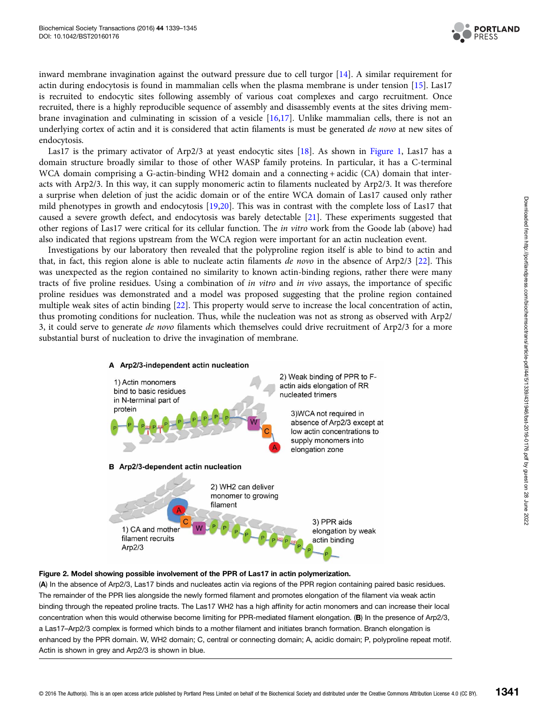

<span id="page-2-0"></span>inward membrane invagination against the outward pressure due to cell turgor [[14\]](#page-5-0). A similar requirement for actin during endocytosis is found in mammalian cells when the plasma membrane is under tension [\[15\]](#page-5-0). Las17 is recruited to endocytic sites following assembly of various coat complexes and cargo recruitment. Once recruited, there is a highly reproducible sequence of assembly and disassembly events at the sites driving membrane invagination and culminating in scission of a vesicle [\[16,17\]](#page-5-0). Unlike mammalian cells, there is not an underlying cortex of actin and it is considered that actin filaments is must be generated de novo at new sites of endocytosis.

Las17 is the primary activator of Arp2/3 at yeast endocytic sites [[18](#page-5-0)]. As shown in [Figure 1](#page-1-0), Las17 has a domain structure broadly similar to those of other WASP family proteins. In particular, it has a C-terminal WCA domain comprising a G-actin-binding WH2 domain and a connecting + acidic (CA) domain that interacts with Arp2/3. In this way, it can supply monomeric actin to filaments nucleated by Arp2/3. It was therefore a surprise when deletion of just the acidic domain or of the entire WCA domain of Las17 caused only rather mild phenotypes in growth and endocytosis [\[19,20\]](#page-5-0). This was in contrast with the complete loss of Las17 that caused a severe growth defect, and endocytosis was barely detectable [[21](#page-5-0)]. These experiments suggested that other regions of Las17 were critical for its cellular function. The in vitro work from the Goode lab (above) had also indicated that regions upstream from the WCA region were important for an actin nucleation event.

Investigations by our laboratory then revealed that the polyproline region itself is able to bind to actin and that, in fact, this region alone is able to nucleate actin filaments *de novo* in the absence of Arp2/3 [\[22](#page-5-0)]. This was unexpected as the region contained no similarity to known actin-binding regions, rather there were many tracts of five proline residues. Using a combination of in vitro and in vivo assays, the importance of specific proline residues was demonstrated and a model was proposed suggesting that the proline region contained multiple weak sites of actin binding [\[22](#page-5-0)]. This property would serve to increase the local concentration of actin, thus promoting conditions for nucleation. Thus, while the nucleation was not as strong as observed with Arp2/ 3, it could serve to generate de novo filaments which themselves could drive recruitment of Arp2/3 for a more substantial burst of nucleation to drive the invagination of membrane.



### Figure 2. Model showing possible involvement of the PPR of Las17 in actin polymerization.

(A) In the absence of Arp2/3, Las17 binds and nucleates actin via regions of the PPR region containing paired basic residues. The remainder of the PPR lies alongside the newly formed filament and promotes elongation of the filament via weak actin binding through the repeated proline tracts. The Las17 WH2 has a high affinity for actin monomers and can increase their local concentration when this would otherwise become limiting for PPR-mediated filament elongation. (B) In the presence of Arp2/3, a Las17–Arp2/3 complex is formed which binds to a mother filament and initiates branch formation. Branch elongation is enhanced by the PPR domain. W, WH2 domain; C, central or connecting domain; A, acidic domain; P, polyproline repeat motif. Actin is shown in grey and Arp2/3 is shown in blue.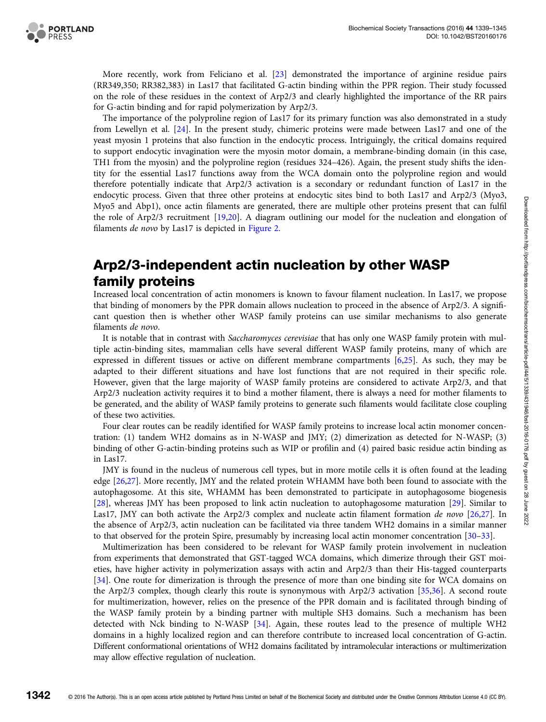More recently, work from Feliciano et al. [\[23\]](#page-5-0) demonstrated the importance of arginine residue pairs (RR349,350; RR382,383) in Las17 that facilitated G-actin binding within the PPR region. Their study focussed on the role of these residues in the context of Arp2/3 and clearly highlighted the importance of the RR pairs for G-actin binding and for rapid polymerization by Arp2/3.

The importance of the polyproline region of Las17 for its primary function was also demonstrated in a study from Lewellyn et al. [[24](#page-5-0)]. In the present study, chimeric proteins were made between Las17 and one of the yeast myosin 1 proteins that also function in the endocytic process. Intriguingly, the critical domains required to support endocytic invagination were the myosin motor domain, a membrane-binding domain (in this case, TH1 from the myosin) and the polyproline region (residues 324–426). Again, the present study shifts the identity for the essential Las17 functions away from the WCA domain onto the polyproline region and would therefore potentially indicate that Arp2/3 activation is a secondary or redundant function of Las17 in the endocytic process. Given that three other proteins at endocytic sites bind to both Las17 and Arp2/3 (Myo3, Myo5 and Abp1), once actin filaments are generated, there are multiple other proteins present that can fulfil the role of Arp2/3 recruitment [[19](#page-5-0),[20](#page-5-0)]. A diagram outlining our model for the nucleation and elongation of filaments de novo by Las17 is depicted in [Figure 2.](#page-2-0)

## Arp2/3-independent actin nucleation by other WASP family proteins

Increased local concentration of actin monomers is known to favour filament nucleation. In Las17, we propose that binding of monomers by the PPR domain allows nucleation to proceed in the absence of Arp2/3. A significant question then is whether other WASP family proteins can use similar mechanisms to also generate filaments de novo.

It is notable that in contrast with Saccharomyces cerevisiae that has only one WASP family protein with multiple actin-binding sites, mammalian cells have several different WASP family proteins, many of which are expressed in different tissues or active on different membrane compartments [[6](#page-5-0),[25](#page-5-0)]. As such, they may be adapted to their different situations and have lost functions that are not required in their specific role. However, given that the large majority of WASP family proteins are considered to activate Arp2/3, and that Arp2/3 nucleation activity requires it to bind a mother filament, there is always a need for mother filaments to be generated, and the ability of WASP family proteins to generate such filaments would facilitate close coupling of these two activities.

Four clear routes can be readily identified for WASP family proteins to increase local actin monomer concentration: (1) tandem WH2 domains as in N-WASP and JMY; (2) dimerization as detected for N-WASP; (3) binding of other G-actin-binding proteins such as WIP or profilin and (4) paired basic residue actin binding as in Las17.

JMY is found in the nucleus of numerous cell types, but in more motile cells it is often found at the leading edge [[26](#page-5-0),[27](#page-5-0)]. More recently, JMY and the related protein WHAMM have both been found to associate with the autophagosome. At this site, WHAMM has been demonstrated to participate in autophagosome biogenesis [[28](#page-5-0)], whereas JMY has been proposed to link actin nucleation to autophagosome maturation [\[29\]](#page-5-0). Similar to Las17, JMY can both activate the Arp2/3 complex and nucleate actin filament formation de novo [[26,27](#page-5-0)]. In the absence of Arp2/3, actin nucleation can be facilitated via three tandem WH2 domains in a similar manner to that observed for the protein Spire, presumably by increasing local actin monomer concentration [\[30](#page-5-0)–[33\]](#page-5-0).

Multimerization has been considered to be relevant for WASP family protein involvement in nucleation from experiments that demonstrated that GST-tagged WCA domains, which dimerize through their GST moieties, have higher activity in polymerization assays with actin and Arp2/3 than their His-tagged counterparts [[34](#page-5-0)]. One route for dimerization is through the presence of more than one binding site for WCA domains on the Arp2/3 complex, though clearly this route is synonymous with Arp2/3 activation [\[35,36](#page-5-0)]. A second route for multimerization, however, relies on the presence of the PPR domain and is facilitated through binding of the WASP family protein by a binding partner with multiple SH3 domains. Such a mechanism has been detected with Nck binding to N-WASP [\[34\]](#page-5-0). Again, these routes lead to the presence of multiple WH2 domains in a highly localized region and can therefore contribute to increased local concentration of G-actin. Different conformational orientations of WH2 domains facilitated by intramolecular interactions or multimerization may allow effective regulation of nucleation.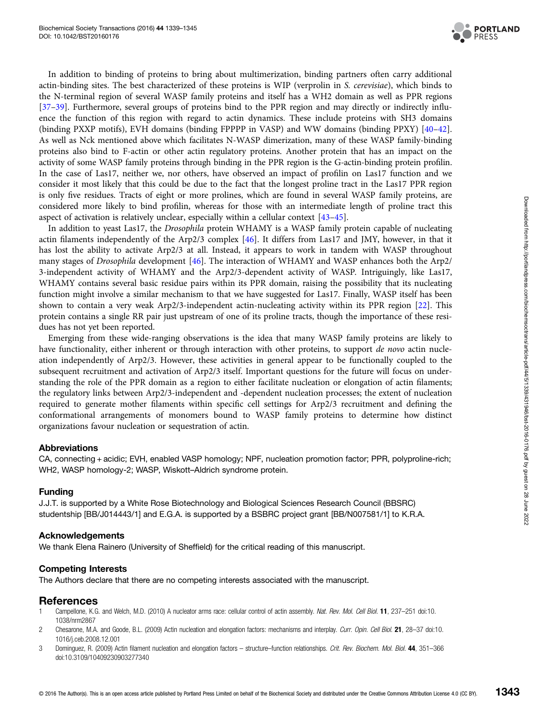

<span id="page-4-0"></span>In addition to binding of proteins to bring about multimerization, binding partners often carry additional actin-binding sites. The best characterized of these proteins is WIP (verprolin in S. cerevisiae), which binds to the N-terminal region of several WASP family proteins and itself has a WH2 domain as well as PPR regions [[37](#page-5-0)–[39](#page-6-0)]. Furthermore, several groups of proteins bind to the PPR region and may directly or indirectly influence the function of this region with regard to actin dynamics. These include proteins with SH3 domains (binding PXXP motifs), EVH domains (binding FPPPP in VASP) and WW domains (binding PPXY) [\[40](#page-6-0)–[42\]](#page-6-0). As well as Nck mentioned above which facilitates N-WASP dimerization, many of these WASP family-binding proteins also bind to F-actin or other actin regulatory proteins. Another protein that has an impact on the activity of some WASP family proteins through binding in the PPR region is the G-actin-binding protein profilin. In the case of Las17, neither we, nor others, have observed an impact of profilin on Las17 function and we consider it most likely that this could be due to the fact that the longest proline tract in the Las17 PPR region is only five residues. Tracts of eight or more prolines, which are found in several WASP family proteins, are considered more likely to bind profilin, whereas for those with an intermediate length of proline tract this aspect of activation is relatively unclear, especially within a cellular context [\[43](#page-6-0)–[45\]](#page-6-0).

In addition to yeast Las17, the Drosophila protein WHAMY is a WASP family protein capable of nucleating actin filaments independently of the Arp2/3 complex [[46](#page-6-0)]. It differs from Las17 and JMY, however, in that it has lost the ability to activate Arp2/3 at all. Instead, it appears to work in tandem with WASP throughout many stages of Drosophila development [[46](#page-6-0)]. The interaction of WHAMY and WASP enhances both the Arp2/ 3-independent activity of WHAMY and the Arp2/3-dependent activity of WASP. Intriguingly, like Las17, WHAMY contains several basic residue pairs within its PPR domain, raising the possibility that its nucleating function might involve a similar mechanism to that we have suggested for Las17. Finally, WASP itself has been shown to contain a very weak Arp2/3-independent actin-nucleating activity within its PPR region [\[22\]](#page-5-0). This protein contains a single RR pair just upstream of one of its proline tracts, though the importance of these residues has not yet been reported.

Emerging from these wide-ranging observations is the idea that many WASP family proteins are likely to have functionality, either inherent or through interaction with other proteins, to support de novo actin nucleation independently of Arp2/3. However, these activities in general appear to be functionally coupled to the subsequent recruitment and activation of Arp2/3 itself. Important questions for the future will focus on understanding the role of the PPR domain as a region to either facilitate nucleation or elongation of actin filaments; the regulatory links between Arp2/3-independent and -dependent nucleation processes; the extent of nucleation required to generate mother filaments within specific cell settings for Arp2/3 recruitment and defining the conformational arrangements of monomers bound to WASP family proteins to determine how distinct organizations favour nucleation or sequestration of actin.

### Abbreviations

CA, connecting + acidic; EVH, enabled VASP homology; NPF, nucleation promotion factor; PPR, polyproline-rich; WH2, WASP homology-2; WASP, Wiskott–Aldrich syndrome protein.

### Funding

J.J.T. is supported by a White Rose Biotechnology and Biological Sciences Research Council (BBSRC) studentship [BB/J014443/1] and E.G.A. is supported by a BSBRC project grant [BB/N007581/1] to K.R.A.

### Acknowledgements

We thank Elena Rainero (University of Sheffield) for the critical reading of this manuscript.

### Competing Interests

The Authors declare that there are no competing interests associated with the manuscript.

### References

- 1 Campellone, K.G. and Welch, M.D. (2010) A nucleator arms race: cellular control of actin assembly. Nat. Rev. Mol. Cell Biol. 11, 237-251 doi[:10.](http://dx.doi.org/doi:10.1038/nrm2867) [1038/nrm2867](http://dx.doi.org/doi:10.1038/nrm2867)
- 2 Chesarone, M.A. and Goode, B.L. (2009) Actin nucleation and elongation factors: mechanisms and interplay. Curr. Opin. Cell Biol. 21, 28-37 doi:[10.](http://dx.doi.org/doi:10.1016/j.ceb.2008.12.001) [1016/j.ceb.2008.12.001](http://dx.doi.org/doi:10.1016/j.ceb.2008.12.001)
- 3 Dominguez, R. (2009) Actin filament nucleation and elongation factors structure–function relationships. Crit. Rev. Biochem. Mol. Biol. 44, 351–366 doi:[10.3109/10409230903277340](http://dx.doi.org/doi:10.3109/10409230903277340)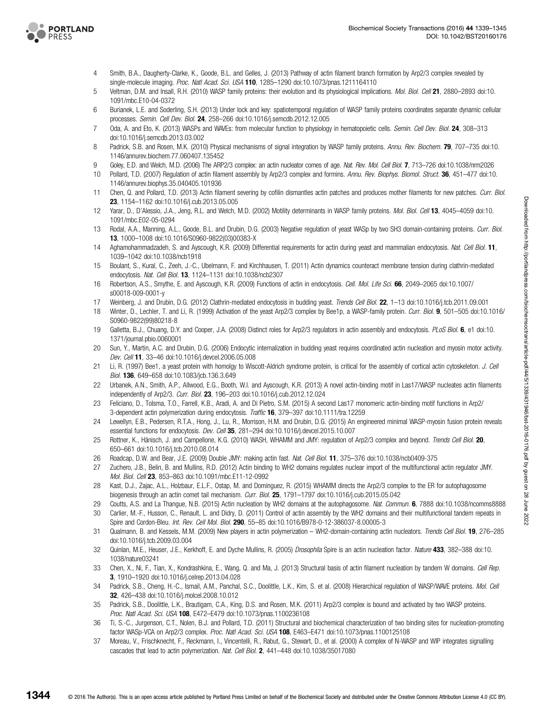<span id="page-5-0"></span>

- 4 Smith, B.A., Daugherty-Clarke, K., Goode, B.L. and Gelles, J. (2013) Pathway of actin filament branch formation by Arp2/3 complex revealed by single-molecule imaging. Proc. Natl Acad. Sci. USA 110, 1285-1290 doi[:10.1073/pnas.1211164110](http://dx.doi.org/doi:10.1073/pnas.1211164110)
- 5 Veltman, D.M. and Insall, R.H. (2010) WASP family proteins: their evolution and its physiological implications. Mol. Biol. Cell 21, 2880–2893 doi[:10.](http://dx.doi.org/doi:10.1091/mbc.E10-04-0372) [1091/mbc.E10-04-0372](http://dx.doi.org/doi:10.1091/mbc.E10-04-0372)
- 6 Burianek, L.E. and Soderling, S.H. (2013) Under lock and key: spatiotemporal regulation of WASP family proteins coordinates separate dynamic cellular processes. Semin. Cell Dev. Biol. 24, 258–266 doi[:10.1016/j.semcdb.2012.12.005](http://dx.doi.org/doi:10.1016/j.semcdb.2012.12.005)
- 7 Oda, A. and Eto, K. (2013) WASPs and WAVEs: from molecular function to physiology in hematopoietic cells. Semin. Cell Dev. Biol. 24, 308-313 doi[:10.1016/j.semcdb.2013.03.002](http://dx.doi.org/doi:10.1016/j.semcdb.2013.03.002)
- 8 Padrick, S.B. and Rosen, M.K. (2010) Physical mechanisms of signal integration by WASP family proteins. Annu. Rev. Biochem. 79, 707–735 doi:[10.](http://dx.doi.org/doi:10.1146/annurev.biochem.77.060407.135452) [1146/annurev.biochem.77.060407.135452](http://dx.doi.org/doi:10.1146/annurev.biochem.77.060407.135452)
- 9 Goley, E.D. and Welch, M.D. (2006) The ARP2/3 complex: an actin nucleator comes of age. Nat. Rev. Mol. Cell Biol. 7, 713-726 doi[:10.1038/nrm2026](http://dx.doi.org/doi:10.1038/nrm2026)
- 10 Pollard, T.D. (2007) Regulation of actin filament assembly by Arp2/3 complex and formins. Annu. Rev. Biophys. Biomol. Struct. 36, 451-477 doi[:10.](http://dx.doi.org/doi:10.1146/annurev.biophys.35.040405.101936) [1146/annurev.biophys.35.040405.101936](http://dx.doi.org/doi:10.1146/annurev.biophys.35.040405.101936)
- 11 Chen, Q. and Pollard, T.D. (2013) Actin filament severing by cofilin dismantles actin patches and produces mother filaments for new patches. Curr. Biol. 23, 1154–1162 doi[:10.1016/j.cub.2013.05.005](http://dx.doi.org/doi:10.1016/j.cub.2013.05.005)
- 12 Yarar, D., D'Alessio, J.A., Jeng, R.L. and Welch, M.D. (2002) Motility determinants in WASP family proteins. Mol. Biol. Cell 13, 4045–4059 doi[:10.](http://dx.doi.org/doi:10.1091/mbc.E02-05-0294) [1091/mbc.E02-05-0294](http://dx.doi.org/doi:10.1091/mbc.E02-05-0294)
- 13 Rodal, A.A., Manning, A.L., Goode, B.L. and Drubin, D.G. (2003) Negative regulation of yeast WASp by two SH3 domain-containing proteins. Curr. Biol. 13, 1000–1008 doi[:10.1016/S0960-9822\(03\)00383-X](http://dx.doi.org/doi:10.1016/S0960-9822(03)00383-X)
- 14 Aghamohammadzadeh, S. and Ayscough, K.R. (2009) Differential requirements for actin during yeast and mammalian endocytosis. Nat. Cell Biol. 11, 1039–1042 doi[:10.1038/ncb1918](http://dx.doi.org/doi:10.1038/ncb1918)
- 15 Boulant, S., Kural, C., Zeeh, J.-C., Ubelmann, F. and Kirchhausen, T. (2011) Actin dynamics counteract membrane tension during clathrin-mediated endocytosis. Nat. Cell Biol. 13, 1124-1131 doi[:10.1038/ncb2307](http://dx.doi.org/doi:10.1038/ncb2307)
- 16 Robertson, A.S., Smythe, E. and Ayscough, K.R. (2009) Functions of actin in endocytosis. Cell. Mol. Life Sci. 66, 2049–2065 doi:[10.1007/](http://dx.doi.org/doi:10.1007/s00018-009-0001-y) [s00018-009-0001-y](http://dx.doi.org/doi:10.1007/s00018-009-0001-y)
- 17 Weinberg, J. and Drubin, D.G. (2012) Clathrin-mediated endocytosis in budding yeast. Trends Cell Biol. 22, 1–13 doi[:10.1016/j.tcb.2011.09.001](http://dx.doi.org/doi:10.1016/j.tcb.2011.09.001)
- 18 Winter, D., Lechler, T. and Li, R. (1999) Activation of the yeast Arp2/3 complex by Bee1p, a WASP-family protein. Curr. Biol. 9, 501–505 doi:[10.1016/](http://dx.doi.org/doi:10.1016/S0960-9822(99)80218-8) [S0960-9822\(99\)80218-8](http://dx.doi.org/doi:10.1016/S0960-9822(99)80218-8)
- 19 Galletta, B.J., Chuang, D.Y. and Cooper, J.A. (2008) Distinct roles for Arp2/3 regulators in actin assembly and endocytosis. PLoS Biol. 6, e1 doi[:10.](http://dx.doi.org/doi:10.1371/journal.pbio.0060001) [1371/journal.pbio.0060001](http://dx.doi.org/doi:10.1371/journal.pbio.0060001)
- 20 Sun, Y., Martin, A.C. and Drubin, D.G. (2006) Endocytic internalization in budding yeast requires coordinated actin nucleation and myosin motor activity. Dev. Cell 11, 33–46 doi[:10.1016/j.devcel.2006.05.008](http://dx.doi.org/doi:10.1016/j.devcel.2006.05.008)
- 21 Li, R. (1997) Bee1, a yeast protein with homolgy to Wiscott-Aldrich syndrome protein, is critical for the assembly of cortical actin cytoskeleton. J. Cell Biol. 136, 649–658 doi:[10.1083/jcb.136.3.649](http://dx.doi.org/doi:10.1083/jcb.136.3.649)
- 22 Urbanek, A.N., Smith, A.P., Allwood, E.G., Booth, W.I. and Ayscough, K.R. (2013) A novel actin-binding motif in Las17/WASP nucleates actin filaments independently of Arp2/3. Curr. Biol. 23, 196–203 doi[:10.1016/j.cub.2012.12.024](http://dx.doi.org/doi:10.1016/j.cub.2012.12.024)
- 23 Feliciano, D., Tolsma, T.O., Farrell, K.B., Aradi, A. and Di Pietro, S.M. (2015) A second Las17 monomeric actin-binding motif functions in Arp2/ 3-dependent actin polymerization during endocytosis. Traffic 16, 379-397 doi[:10.1111/tra.12259](http://dx.doi.org/doi:10.1111/tra.12259)
- 24 Lewellyn, E.B., Pedersen, R.T.A., Hong, J., Lu, R., Morrison, H.M. and Drubin, D.G. (2015) An engineered minimal WASP-myosin fusion protein reveals essential functions for endocytosis. Dev. Cell 35, 281-294 doi:[10.1016/j.devcel.2015.10.007](http://dx.doi.org/doi:10.1016/j.devcel.2015.10.007)
- 25 Rottner, K., Hänisch, J. and Campellone, K.G. (2010) WASH, WHAMM and JMY: regulation of Arp2/3 complex and beyond. Trends Cell Biol. 20, 650–661 doi[:10.1016/j.tcb.2010.08.014](http://dx.doi.org/doi:10.1016/j.tcb.2010.08.014)
- 26 Roadcap, D.W. and Bear, J.E. (2009) Double JMY: making actin fast. Nat. Cell Biol. 11, 375–376 doi:[10.1038/ncb0409-375](http://dx.doi.org/doi:10.1038/ncb0409-375)
- 27 Zuchero, J.B., Belin, B. and Mullins, R.D. (2012) Actin binding to WH2 domains regulates nuclear import of the multifunctional actin regulator JMY. Mol. Biol. Cell 23, 853–863 doi:[10.1091/mbc.E11-12-0992](http://dx.doi.org/doi:10.1091/mbc.E11-12-0992)
- 28 Kast, D.J., Zajac, A.L., Holzbaur, E.L.F., Ostap, M. and Dominguez, R. (2015) WHAMM directs the Arp2/3 complex to the ER for autophagosome biogenesis through an actin comet tail mechanism. Curr. Biol. 25, 1791-1797 doi[:10.1016/j.cub.2015.05.042](http://dx.doi.org/doi:10.1016/j.cub.2015.05.042)
- 29 Coutts, A.S. and La Thangue, N.B. (2015) Actin nucleation by WH2 domains at the autophagosome. Nat. Commun. 6, 7888 doi:[10.1038/ncomms8888](http://dx.doi.org/doi:10.1038/ncomms8888)
- 30 Carlier, M.-F., Husson, C., Renault, L. and Didry, D. (2011) Control of actin assembly by the WH2 domains and their multifunctional tandem repeats in Spire and Cordon-Bleu. Int. Rev. Cell Mol. Biol. 290, 55–85 doi[:10.1016/B978-0-12-386037-8.00005-3](http://dx.doi.org/doi:10.1016/B978-0-12-386037-8.00005-3)
- 31 Qualmann, B. and Kessels, M.M. (2009) New players in actin polymerization WH2-domain-containing actin nucleators. Trends Cell Biol. 19, 276–285 doi[:10.1016/j.tcb.2009.03.004](http://dx.doi.org/doi:10.1016/j.tcb.2009.03.004)
- 32 Quinlan, M.E., Heuser, J.E., Kerkhoff, E. and Dyche Mullins, R. (2005) Drosophila Spire is an actin nucleation factor. Nature 433, 382–388 doi:[10.](http://dx.doi.org/doi:10.1038/nature03241) [1038/nature03241](http://dx.doi.org/doi:10.1038/nature03241)
- 33 Chen, X., Ni, F., Tian, X., Kondrashkina, E., Wang, Q. and Ma, J. (2013) Structural basis of actin filament nucleation by tandem W domains. Cell Rep. 3, 1910–1920 doi[:10.1016/j.celrep.2013.04.028](http://dx.doi.org/doi:10.1016/j.celrep.2013.04.028)
- 34 Padrick, S.B., Cheng, H.-C., Ismail, A.M., Panchal, S.C., Doolittle, L.K., Kim, S. et al. (2008) Hierarchical regulation of WASP/WAVE proteins. Mol. Cell 32, 426–438 doi[:10.1016/j.molcel.2008.10.012](http://dx.doi.org/doi:10.1016/j.molcel.2008.10.012)
- 35 Padrick, S.B., Doolittle, L.K., Brautigam, C.A., King, D.S. and Rosen, M.K. (2011) Arp2/3 complex is bound and activated by two WASP proteins. Proc. Natl Acad. Sci. USA 108, E472-E479 doi[:10.1073/pnas.1100236108](http://dx.doi.org/doi:10.1073/pnas.1100236108)
- 36 Ti, S.-C., Jurgenson, C.T., Nolen, B.J. and Pollard, T.D. (2011) Structural and biochemical characterization of two binding sites for nucleation-promoting factor WASp-VCA on Arp2/3 complex. Proc. Natl Acad. Sci. USA 108, E463-E471 doi:[10.1073/pnas.1100125108](http://dx.doi.org/doi:10.1073/pnas.1100125108)
- 37 Moreau, V., Frischknecht, F., Reckmann, I., Vincentelli, R., Rabut, G., Stewart, D., et al. (2000) A complex of N-WASP and WIP integrates signalling cascades that lead to actin polymerization. Nat. Cell Biol. 2, 441–448 doi[:10.1038/35017080](http://dx.doi.org/doi:10.1038/35017080)